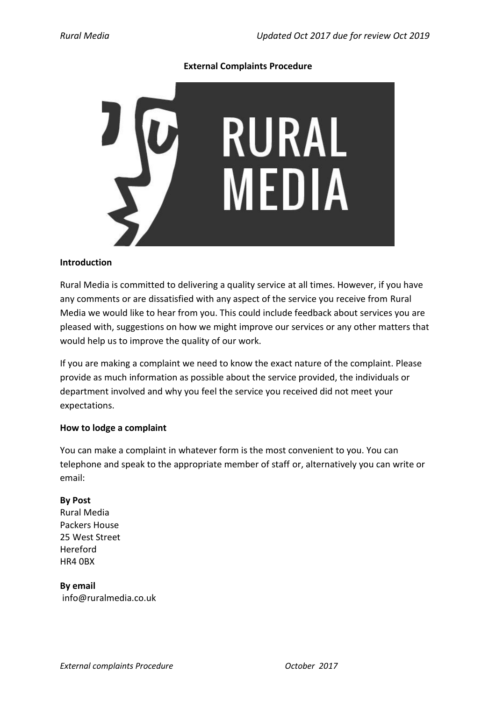#### **External Complaints Procedure**



#### **Introduction**

Rural Media is committed to delivering a quality service at all times. However, if you have any comments or are dissatisfied with any aspect of the service you receive from Rural Media we would like to hear from you. This could include feedback about services you are pleased with, suggestions on how we might improve our services or any other matters that would help us to improve the quality of our work.

If you are making a complaint we need to know the exact nature of the complaint. Please provide as much information as possible about the service provided, the individuals or department involved and why you feel the service you received did not meet your expectations.

## **How to lodge a complaint**

You can make a complaint in whatever form is the most convenient to you. You can telephone and speak to the appropriate member of staff or, alternatively you can write or email:

## **By Post**

Rural Media Packers House 25 West Street Hereford HR4 0BX

# **By email**

info@ruralmedia.co.uk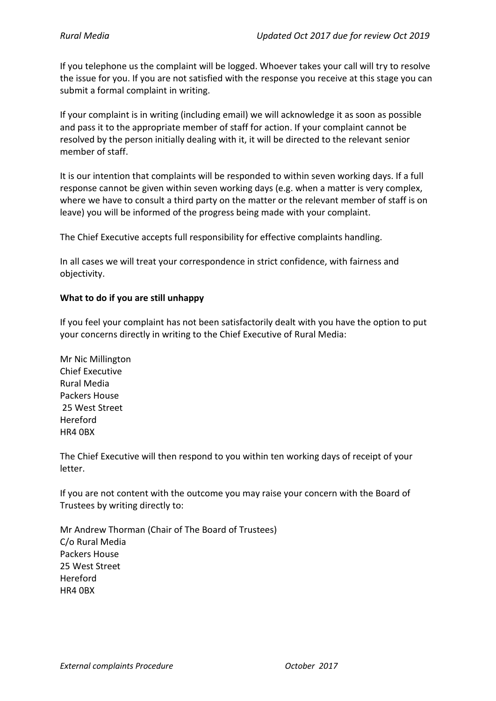If you telephone us the complaint will be logged. Whoever takes your call will try to resolve the issue for you. If you are not satisfied with the response you receive at this stage you can submit a formal complaint in writing.

If your complaint is in writing (including email) we will acknowledge it as soon as possible and pass it to the appropriate member of staff for action. If your complaint cannot be resolved by the person initially dealing with it, it will be directed to the relevant senior member of staff.

It is our intention that complaints will be responded to within seven working days. If a full response cannot be given within seven working days (e.g. when a matter is very complex, where we have to consult a third party on the matter or the relevant member of staff is on leave) you will be informed of the progress being made with your complaint.

The Chief Executive accepts full responsibility for effective complaints handling.

In all cases we will treat your correspondence in strict confidence, with fairness and objectivity.

## **What to do if you are still unhappy**

If you feel your complaint has not been satisfactorily dealt with you have the option to put your concerns directly in writing to the Chief Executive of Rural Media:

Mr Nic Millington Chief Executive Rural Media Packers House 25 West Street Hereford HR4 0BX

The Chief Executive will then respond to you within ten working days of receipt of your letter.

If you are not content with the outcome you may raise your concern with the Board of Trustees by writing directly to:

Mr Andrew Thorman (Chair of The Board of Trustees) C/o Rural Media Packers House 25 West Street Hereford HR4 0BX